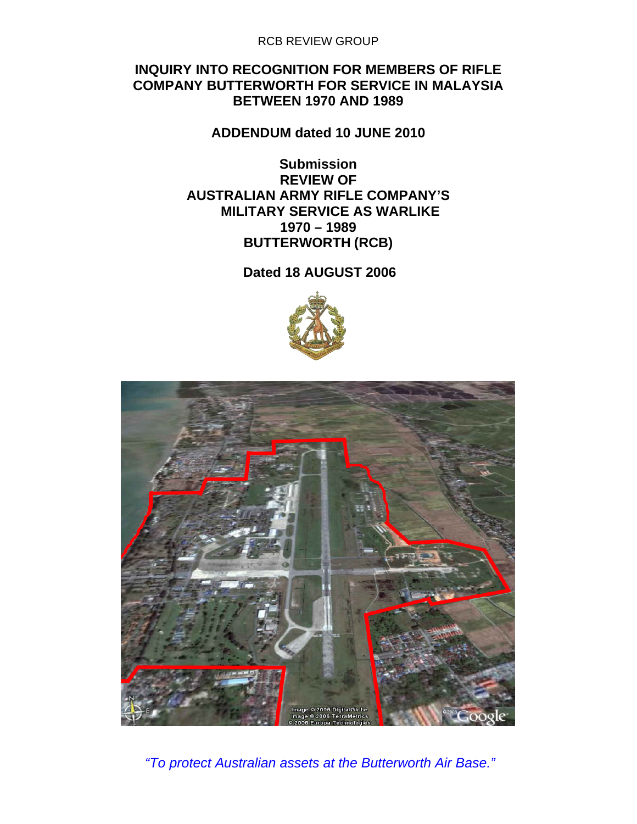RCB REVIEW GROUP

### **INQUIRY INTO RECOGNITION FOR MEMBERS OF RIFLE COMPANY BUTTERWORTH FOR SERVICE IN MALAYSIA BETWEEN 1970 AND 1989**

**ADDENDUM dated 10 JUNE 2010** 

**Submission REVIEW OF AUSTRALIAN ARMY RIFLE COMPANY'S MILITARY SERVICE AS WARLIKE 1970 – 1989 BUTTERWORTH (RCB)** 

**Dated 18 AUGUST 2006** 





 *"To protect Australian assets at the Butterworth Air Base."*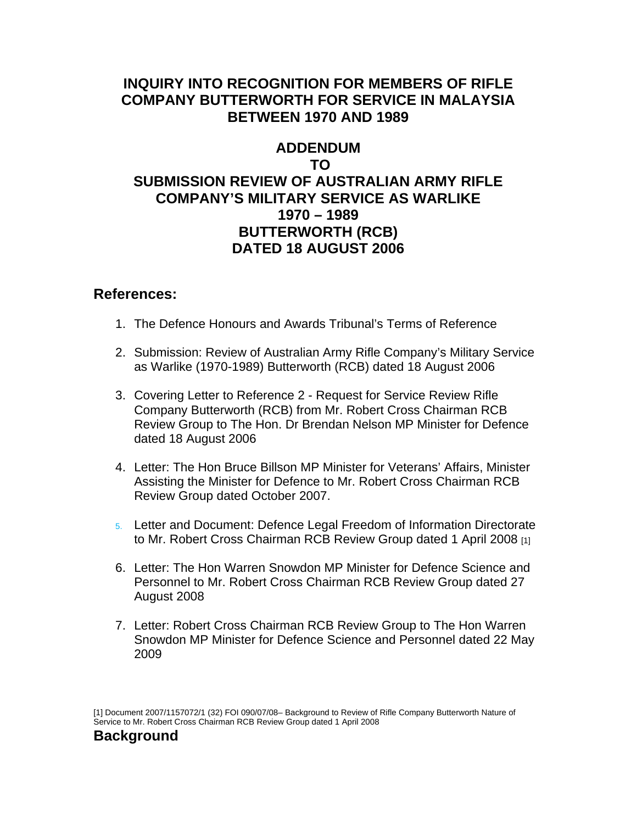## **INQUIRY INTO RECOGNITION FOR MEMBERS OF RIFLE COMPANY BUTTERWORTH FOR SERVICE IN MALAYSIA BETWEEN 1970 AND 1989**

## **ADDENDUM TO SUBMISSION REVIEW OF AUSTRALIAN ARMY RIFLE COMPANY'S MILITARY SERVICE AS WARLIKE 1970 – 1989 BUTTERWORTH (RCB) DATED 18 AUGUST 2006**

### **References:**

- 1. The Defence Honours and Awards Tribunal's Terms of Reference
- 2. Submission: Review of Australian Army Rifle Company's Military Service as Warlike (1970-1989) Butterworth (RCB) dated 18 August 2006
- 3. Covering Letter to Reference 2 Request for Service Review Rifle Company Butterworth (RCB) from Mr. Robert Cross Chairman RCB Review Group to The Hon. Dr Brendan Nelson MP Minister for Defence dated 18 August 2006
- 4. Letter: The Hon Bruce Billson MP Minister for Veterans' Affairs, Minister Assisting the Minister for Defence to Mr. Robert Cross Chairman RCB Review Group dated October 2007.
- 5. Letter and Document: Defence Legal Freedom of Information Directorate to Mr. Robert Cross Chairman RCB Review Group dated 1 April 2008 [1]
- 6. Letter: The Hon Warren Snowdon MP Minister for Defence Science and Personnel to Mr. Robert Cross Chairman RCB Review Group dated 27 August 2008
- 7. Letter: Robert Cross Chairman RCB Review Group to The Hon Warren Snowdon MP Minister for Defence Science and Personnel dated 22 May 2009

<sup>[1]</sup> Document 2007/1157072/1 (32) FOI 090/07/08– Background to Review of Rifle Company Butterworth Nature of Service to Mr. Robert Cross Chairman RCB Review Group dated 1 April 2008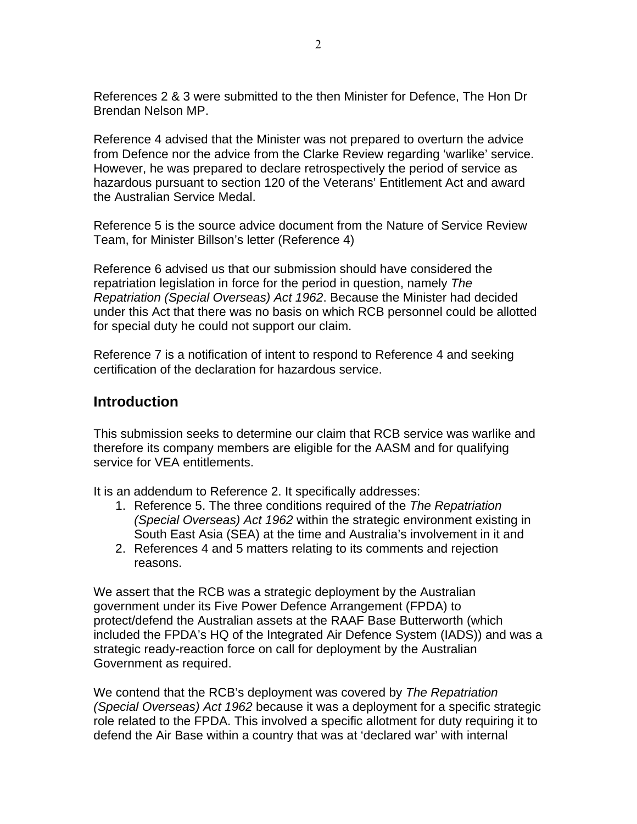References 2 & 3 were submitted to the then Minister for Defence, The Hon Dr Brendan Nelson MP.

Reference 4 advised that the Minister was not prepared to overturn the advice from Defence nor the advice from the Clarke Review regarding 'warlike' service. However, he was prepared to declare retrospectively the period of service as hazardous pursuant to section 120 of the Veterans' Entitlement Act and award the Australian Service Medal.

Reference 5 is the source advice document from the Nature of Service Review Team, for Minister Billson's letter (Reference 4)

Reference 6 advised us that our submission should have considered the repatriation legislation in force for the period in question, namely *The Repatriation (Special Overseas) Act 1962*. Because the Minister had decided under this Act that there was no basis on which RCB personnel could be allotted for special duty he could not support our claim.

Reference 7 is a notification of intent to respond to Reference 4 and seeking certification of the declaration for hazardous service.

## **Introduction**

This submission seeks to determine our claim that RCB service was warlike and therefore its company members are eligible for the AASM and for qualifying service for VEA entitlements.

It is an addendum to Reference 2. It specifically addresses:

- 1. Reference 5. The three conditions required of the *The Repatriation (Special Overseas) Act 1962* within the strategic environment existing in South East Asia (SEA) at the time and Australia's involvement in it and
- 2. References 4 and 5 matters relating to its comments and rejection reasons.

We assert that the RCB was a strategic deployment by the Australian government under its Five Power Defence Arrangement (FPDA) to protect/defend the Australian assets at the RAAF Base Butterworth (which included the FPDA's HQ of the Integrated Air Defence System (IADS)) and was a strategic ready-reaction force on call for deployment by the Australian Government as required.

We contend that the RCB's deployment was covered by *The Repatriation (Special Overseas) Act 1962* because it was a deployment for a specific strategic role related to the FPDA. This involved a specific allotment for duty requiring it to defend the Air Base within a country that was at 'declared war' with internal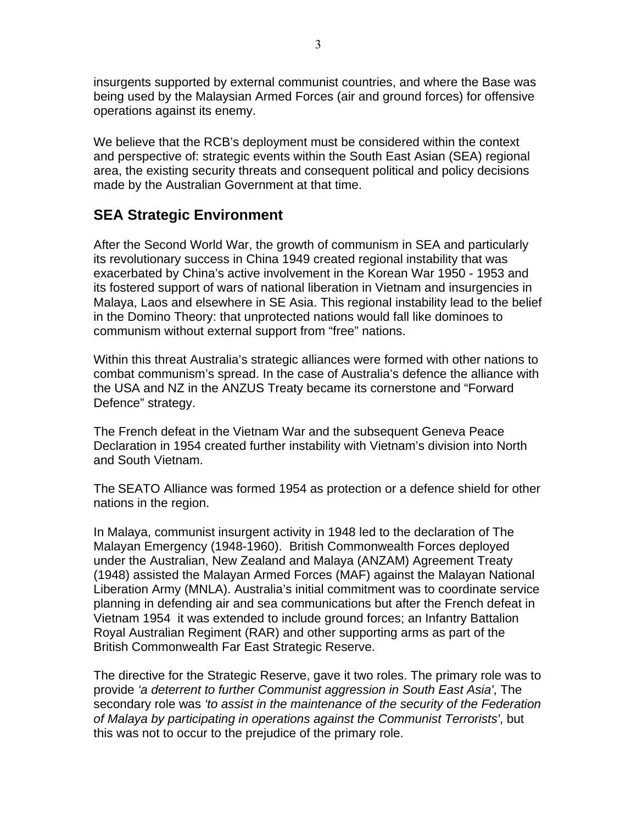insurgents supported by external communist countries, and where the Base was being used by the Malaysian Armed Forces (air and ground forces) for offensive operations against its enemy.

We believe that the RCB's deployment must be considered within the context and perspective of: strategic events within the South East Asian (SEA) regional area, the existing security threats and consequent political and policy decisions made by the Australian Government at that time.

## **SEA Strategic Environment**

After the Second World War, the growth of communism in SEA and particularly its revolutionary success in China 1949 created regional instability that was exacerbated by China's active involvement in the Korean War 1950 - 1953 and its fostered support of wars of national liberation in Vietnam and insurgencies in Malaya, Laos and elsewhere in SE Asia. This regional instability lead to the belief in the Domino Theory: that unprotected nations would fall like dominoes to communism without external support from "free" nations.

Within this threat Australia's strategic alliances were formed with other nations to combat communism's spread. In the case of Australia's defence the alliance with the USA and NZ in the ANZUS Treaty became its cornerstone and "Forward Defence" strategy.

The French defeat in the Vietnam War and the subsequent Geneva Peace Declaration in 1954 created further instability with Vietnam's division into North and South Vietnam.

The SEATO Alliance was formed 1954 as protection or a defence shield for other nations in the region.

In Malaya, communist insurgent activity in 1948 led to the declaration of The Malayan Emergency (1948-1960). British Commonwealth Forces deployed under the Australian, New Zealand and Malaya (ANZAM) Agreement Treaty (1948) assisted the Malayan Armed Forces (MAF) against the Malayan National Liberation Army (MNLA). Australia's initial commitment was to coordinate service planning in defending air and sea communications but after the French defeat in Vietnam 1954 it was extended to include ground forces; an Infantry Battalion Royal Australian Regiment (RAR) and other supporting arms as part of the British Commonwealth Far East Strategic Reserve.

The directive for the Strategic Reserve, gave it two roles. The primary role was to provide *'a deterrent to further Communist aggression in South East Asia'*, The secondary role was *'to assist in the maintenance of the security of the Federation of Malaya by participating in operations against the Communist Terrorists'*, but this was not to occur to the prejudice of the primary role.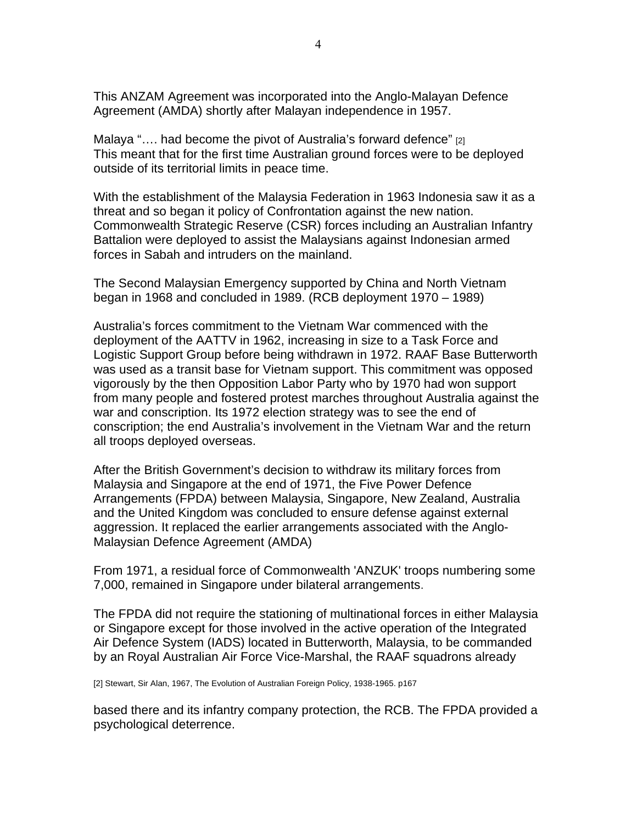This ANZAM Agreement was incorporated into the Anglo-Malayan Defence Agreement (AMDA) shortly after Malayan independence in 1957.

Malaya ".... had become the pivot of Australia's forward defence" [2] This meant that for the first time Australian ground forces were to be deployed outside of its territorial limits in peace time.

With the establishment of the Malaysia Federation in 1963 Indonesia saw it as a threat and so began it policy of Confrontation against the new nation. Commonwealth Strategic Reserve (CSR) forces including an Australian Infantry Battalion were deployed to assist the Malaysians against Indonesian armed forces in Sabah and intruders on the mainland.

The Second Malaysian Emergency supported by China and North Vietnam began in 1968 and concluded in 1989. (RCB deployment 1970 – 1989)

Australia's forces commitment to the Vietnam War commenced with the deployment of the AATTV in 1962, increasing in size to a Task Force and Logistic Support Group before being withdrawn in 1972. RAAF Base Butterworth was used as a transit base for Vietnam support. This commitment was opposed vigorously by the then Opposition Labor Party who by 1970 had won support from many people and fostered protest marches throughout Australia against the war and conscription. Its 1972 election strategy was to see the end of conscription; the end Australia's involvement in the Vietnam War and the return all troops deployed overseas.

After the British Government's decision to withdraw its military forces from Malaysia and Singapore at the end of 1971, the Five Power Defence Arrangements (FPDA) between Malaysia, Singapore, New Zealand, Australia and the United Kingdom was concluded to ensure defense against external aggression. It replaced the earlier arrangements associated with the Anglo-Malaysian Defence Agreement (AMDA)

From 1971, a residual force of Commonwealth 'ANZUK' troops numbering some 7,000, remained in Singapore under bilateral arrangements.

The FPDA did not require the stationing of multinational forces in either Malaysia or Singapore except for those involved in the active operation of the Integrated Air Defence System (IADS) located in Butterworth, Malaysia, to be commanded by an Royal Australian Air Force Vice-Marshal, the RAAF squadrons already

[2] Stewart, Sir Alan, 1967, The Evolution of Australian Foreign Policy, 1938-1965. p167

based there and its infantry company protection, the RCB. The FPDA provided a psychological deterrence.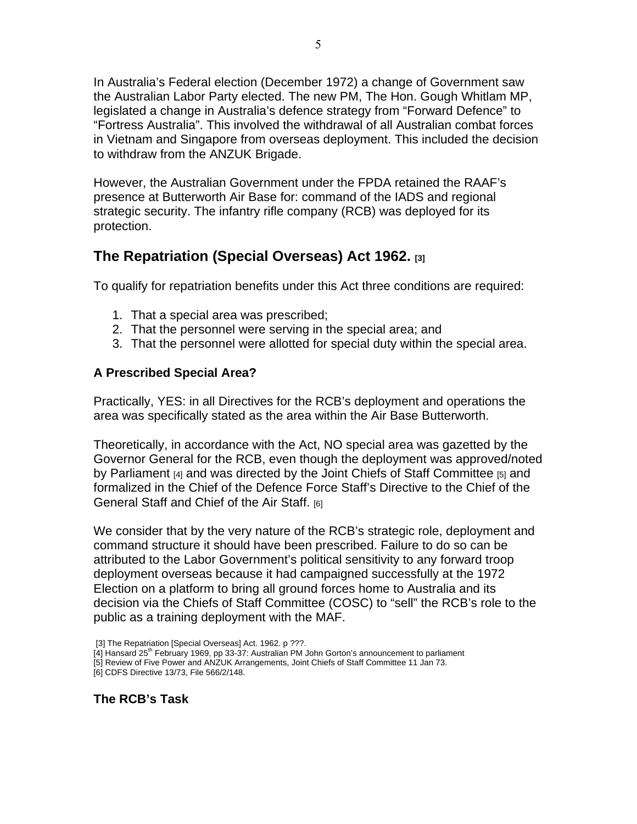In Australia's Federal election (December 1972) a change of Government saw the Australian Labor Party elected. The new PM, The Hon. Gough Whitlam MP, legislated a change in Australia's defence strategy from "Forward Defence" to "Fortress Australia". This involved the withdrawal of all Australian combat forces in Vietnam and Singapore from overseas deployment. This included the decision to withdraw from the ANZUK Brigade.

However, the Australian Government under the FPDA retained the RAAF's presence at Butterworth Air Base for: command of the IADS and regional strategic security. The infantry rifle company (RCB) was deployed for its protection.

# **The Repatriation (Special Overseas) Act 1962. [3]**

To qualify for repatriation benefits under this Act three conditions are required:

- 1. That a special area was prescribed;
- 2. That the personnel were serving in the special area; and
- 3. That the personnel were allotted for special duty within the special area.

### **A Prescribed Special Area?**

Practically, YES: in all Directives for the RCB's deployment and operations the area was specifically stated as the area within the Air Base Butterworth.

Theoretically, in accordance with the Act, NO special area was gazetted by the Governor General for the RCB, even though the deployment was approved/noted by Parliament [4] and was directed by the Joint Chiefs of Staff Committee [5] and formalized in the Chief of the Defence Force Staff's Directive to the Chief of the General Staff and Chief of the Air Staff. [6]

We consider that by the very nature of the RCB's strategic role, deployment and command structure it should have been prescribed. Failure to do so can be attributed to the Labor Government's political sensitivity to any forward troop deployment overseas because it had campaigned successfully at the 1972 Election on a platform to bring all ground forces home to Australia and its decision via the Chiefs of Staff Committee (COSC) to "sell" the RCB's role to the public as a training deployment with the MAF.

- [3] The Repatriation [Special Overseas] Act. 1962. p ???.
- [4] Hansard 25<sup>th</sup> February 1969, pp 33-37: Australian PM John Gorton's announcement to parliament
- [5] Review of Five Power and ANZUK Arrangements, Joint Chiefs of Staff Committee 11 Jan 73.

[6] CDFS Directive 13/73, File 566/2/148.

**The RCB's Task**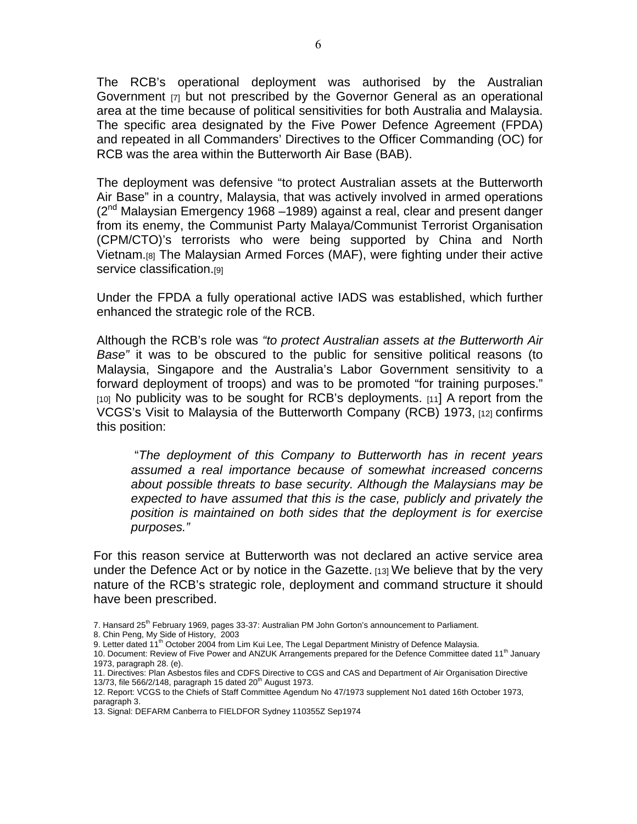The RCB's operational deployment was authorised by the Australian Government [7] but not prescribed by the Governor General as an operational area at the time because of political sensitivities for both Australia and Malaysia. The specific area designated by the Five Power Defence Agreement (FPDA) and repeated in all Commanders' Directives to the Officer Commanding (OC) for RCB was the area within the Butterworth Air Base (BAB).

The deployment was defensive "to protect Australian assets at the Butterworth Air Base" in a country, Malaysia, that was actively involved in armed operations  $(2^{nd}$  Malaysian Emergency 1968 –1989) against a real, clear and present danger from its enemy, the Communist Party Malaya/Communist Terrorist Organisation (CPM/CTO)'s terrorists who were being supported by China and North Vietnam.[8] The Malaysian Armed Forces (MAF), were fighting under their active service classification.<sup>[9]</sup>

Under the FPDA a fully operational active IADS was established, which further enhanced the strategic role of the RCB.

Although the RCB's role was *"to protect Australian assets at the Butterworth Air Base"* it was to be obscured to the public for sensitive political reasons (to Malaysia, Singapore and the Australia's Labor Government sensitivity to a forward deployment of troops) and was to be promoted "for training purposes." [10] No publicity was to be sought for RCB's deployments. [11] A report from the VCGS's Visit to Malaysia of the Butterworth Company (RCB) 1973, [12] confirms this position:

 "*The deployment of this Company to Butterworth has in recent years assumed a real importance because of somewhat increased concerns about possible threats to base security. Although the Malaysians may be expected to have assumed that this is the case, publicly and privately the position is maintained on both sides that the deployment is for exercise purposes."* 

For this reason service at Butterworth was not declared an active service area under the Defence Act or by notice in the Gazette. [13] We believe that by the very nature of the RCB's strategic role, deployment and command structure it should have been prescribed.

7. Hansard 25<sup>th</sup> February 1969, pages 33-37: Australian PM John Gorton's announcement to Parliament.

<sup>8.</sup> Chin Peng, My Side of History, 2003

<sup>9.</sup> Letter dated 11<sup>th</sup> October 2004 from Lim Kui Lee, The Legal Department Ministry of Defence Malaysia.

<sup>10.</sup> Document: Review of Five Power and ANZUK Arrangements prepared for the Defence Committee dated 11<sup>th</sup> January 1973, paragraph 28. (e).

<sup>11.</sup> Directives: Plan Asbestos files and CDFS Directive to CGS and CAS and Department of Air Organisation Directive 13/73, file 566/2/148, paragraph 15 dated  $20<sup>th</sup>$  August 1973.

<sup>12.</sup> Report: VCGS to the Chiefs of Staff Committee Agendum No 47/1973 supplement No1 dated 16th October 1973, paragraph 3.

<sup>13.</sup> Signal: DEFARM Canberra to FIELDFOR Sydney 110355Z Sep1974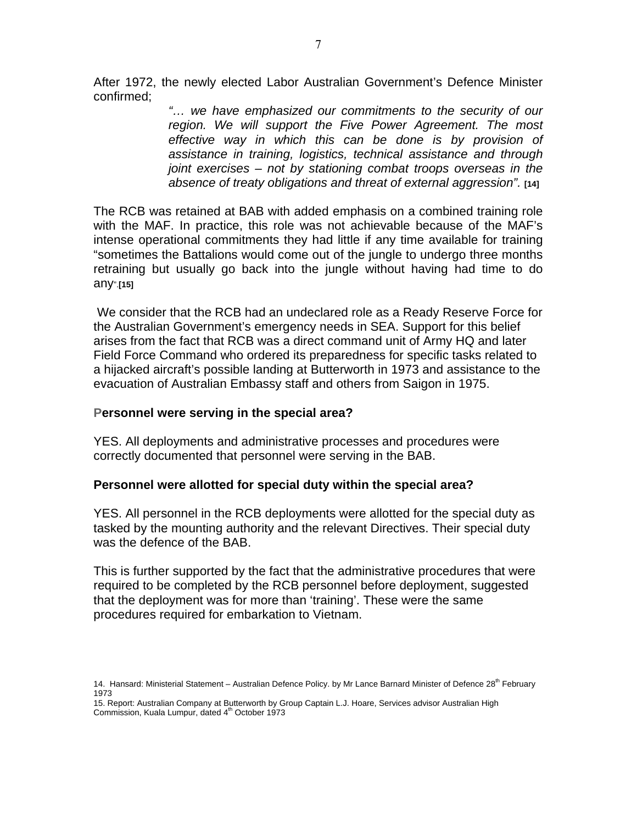After 1972, the newly elected Labor Australian Government's Defence Minister confirmed;

> *"… we have emphasized our commitments to the security of our region. We will support the Five Power Agreement. The most effective way in which this can be done is by provision of assistance in training, logistics, technical assistance and through joint exercises – not by stationing combat troops overseas in the absence of treaty obligations and threat of external aggression".* **[14]**

The RCB was retained at BAB with added emphasis on a combined training role with the MAF. In practice, this role was not achievable because of the MAF's intense operational commitments they had little if any time available for training "sometimes the Battalions would come out of the jungle to undergo three months retraining but usually go back into the jungle without having had time to do any".**[15]**

We consider that the RCB had an undeclared role as a Ready Reserve Force for the Australian Government's emergency needs in SEA. Support for this belief arises from the fact that RCB was a direct command unit of Army HQ and later Field Force Command who ordered its preparedness for specific tasks related to a hijacked aircraft's possible landing at Butterworth in 1973 and assistance to the evacuation of Australian Embassy staff and others from Saigon in 1975.

#### **Personnel were serving in the special area?**

YES. All deployments and administrative processes and procedures were correctly documented that personnel were serving in the BAB.

#### **Personnel were allotted for special duty within the special area?**

YES. All personnel in the RCB deployments were allotted for the special duty as tasked by the mounting authority and the relevant Directives. Their special duty was the defence of the BAB.

This is further supported by the fact that the administrative procedures that were required to be completed by the RCB personnel before deployment, suggested that the deployment was for more than 'training'. These were the same procedures required for embarkation to Vietnam.

<sup>14.</sup> Hansard: Ministerial Statement – Australian Defence Policy. by Mr Lance Barnard Minister of Defence  $28^{th}$  February 1973

<sup>15.</sup> Report: Australian Company at Butterworth by Group Captain L.J. Hoare, Services advisor Australian High Commission, Kuala Lumpur, dated 4<sup>th</sup> October 1973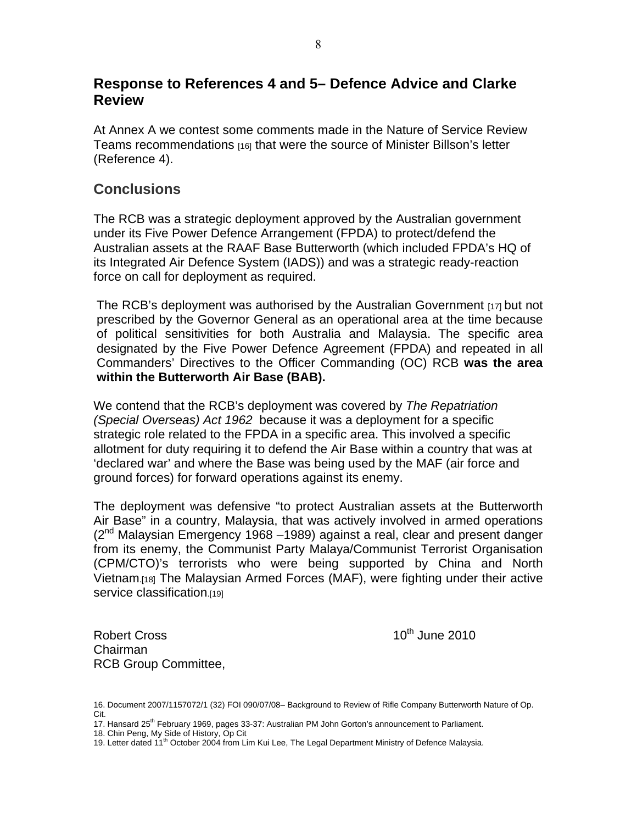## **Response to References 4 and 5– Defence Advice and Clarke Review**

At Annex A we contest some comments made in the Nature of Service Review Teams recommendations [16] that were the source of Minister Billson's letter (Reference 4).

## **Conclusions**

The RCB was a strategic deployment approved by the Australian government under its Five Power Defence Arrangement (FPDA) to protect/defend the Australian assets at the RAAF Base Butterworth (which included FPDA's HQ of its Integrated Air Defence System (IADS)) and was a strategic ready-reaction force on call for deployment as required.

The RCB's deployment was authorised by the Australian Government [17] but not prescribed by the Governor General as an operational area at the time because of political sensitivities for both Australia and Malaysia. The specific area designated by the Five Power Defence Agreement (FPDA) and repeated in all Commanders' Directives to the Officer Commanding (OC) RCB **was the area within the Butterworth Air Base (BAB).** 

We contend that the RCB's deployment was covered by *The Repatriation (Special Overseas) Act 1962* because it was a deployment for a specific strategic role related to the FPDA in a specific area. This involved a specific allotment for duty requiring it to defend the Air Base within a country that was at 'declared war' and where the Base was being used by the MAF (air force and ground forces) for forward operations against its enemy.

The deployment was defensive "to protect Australian assets at the Butterworth Air Base" in a country, Malaysia, that was actively involved in armed operations  $(2^{nd}$  Malaysian Emergency 1968 –1989) against a real, clear and present danger from its enemy, the Communist Party Malaya/Communist Terrorist Organisation (CPM/CTO)'s terrorists who were being supported by China and North Vietnam.[18] The Malaysian Armed Forces (MAF), were fighting under their active service classification.[19]

Robert Cross **10th** June 2010 Chairman RCB Group Committee,

<sup>16.</sup> Document 2007/1157072/1 (32) FOI 090/07/08– Background to Review of Rifle Company Butterworth Nature of Op. Cit.

<sup>17.</sup> Hansard 25<sup>th</sup> February 1969, pages 33-37: Australian PM John Gorton's announcement to Parliament.

<sup>18.</sup> Chin Peng, My Side of History, Op Cit

<sup>19.</sup> Letter dated 11<sup>th</sup> October 2004 from Lim Kui Lee, The Legal Department Ministry of Defence Malaysia.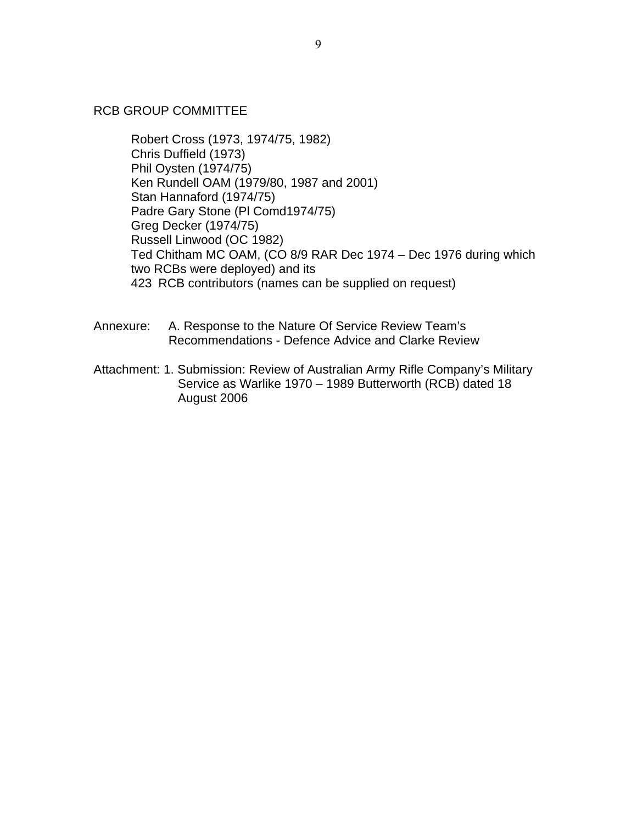#### RCB GROUP COMMITTEE

Robert Cross (1973, 1974/75, 1982) Chris Duffield (1973) Phil Oysten (1974/75) Ken Rundell OAM (1979/80, 1987 and 2001) Stan Hannaford (1974/75) Padre Gary Stone (Pl Comd1974/75) Greg Decker (1974/75) Russell Linwood (OC 1982) Ted Chitham MC OAM, (CO 8/9 RAR Dec 1974 – Dec 1976 during which two RCBs were deployed) and its 423 RCB contributors (names can be supplied on request)

- Annexure: A. Response to the Nature Of Service Review Team's Recommendations - Defence Advice and Clarke Review
- Attachment: 1. Submission: Review of Australian Army Rifle Company's Military Service as Warlike 1970 – 1989 Butterworth (RCB) dated 18 August 2006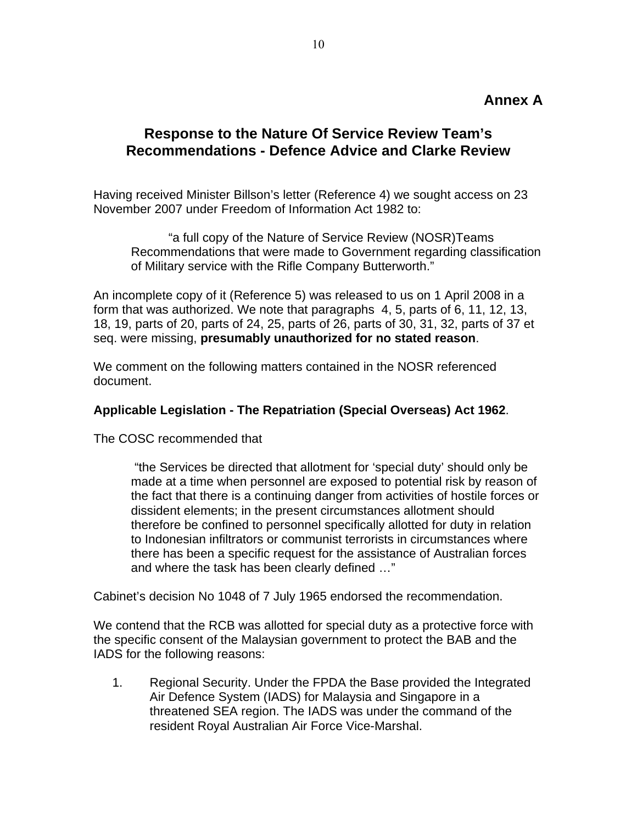### **Annex A**

# **Response to the Nature Of Service Review Team's Recommendations - Defence Advice and Clarke Review**

Having received Minister Billson's letter (Reference 4) we sought access on 23 November 2007 under Freedom of Information Act 1982 to:

 "a full copy of the Nature of Service Review (NOSR)Teams Recommendations that were made to Government regarding classification of Military service with the Rifle Company Butterworth."

An incomplete copy of it (Reference 5) was released to us on 1 April 2008 in a form that was authorized. We note that paragraphs 4, 5, parts of 6, 11, 12, 13, 18, 19, parts of 20, parts of 24, 25, parts of 26, parts of 30, 31, 32, parts of 37 et seq. were missing, **presumably unauthorized for no stated reason**.

We comment on the following matters contained in the NOSR referenced document.

#### **Applicable Legislation - The Repatriation (Special Overseas) Act 1962**.

The COSC recommended that

 "the Services be directed that allotment for 'special duty' should only be made at a time when personnel are exposed to potential risk by reason of the fact that there is a continuing danger from activities of hostile forces or dissident elements; in the present circumstances allotment should therefore be confined to personnel specifically allotted for duty in relation to Indonesian infiltrators or communist terrorists in circumstances where there has been a specific request for the assistance of Australian forces and where the task has been clearly defined …"

Cabinet's decision No 1048 of 7 July 1965 endorsed the recommendation.

We contend that the RCB was allotted for special duty as a protective force with the specific consent of the Malaysian government to protect the BAB and the IADS for the following reasons:

1. Regional Security. Under the FPDA the Base provided the Integrated Air Defence System (IADS) for Malaysia and Singapore in a threatened SEA region. The IADS was under the command of the resident Royal Australian Air Force Vice-Marshal.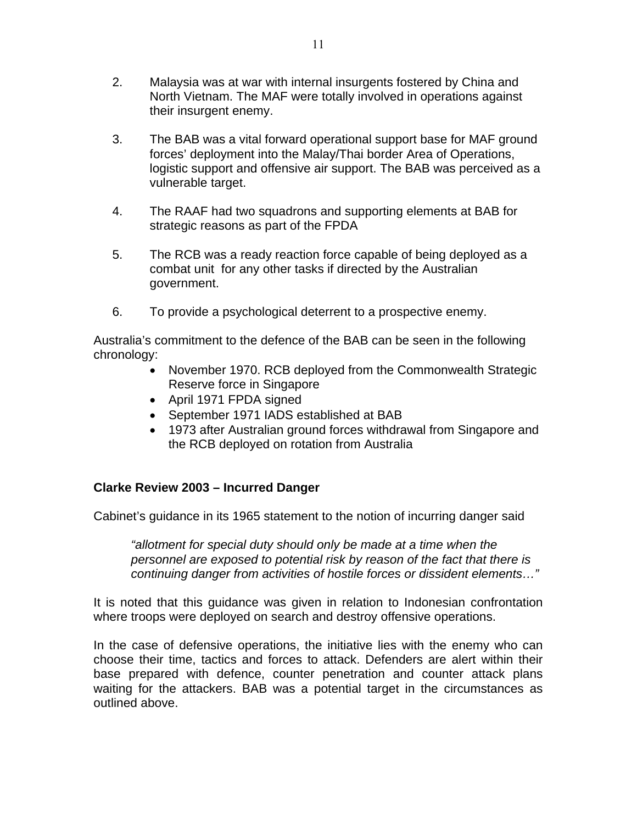- 2. Malaysia was at war with internal insurgents fostered by China and North Vietnam. The MAF were totally involved in operations against their insurgent enemy.
- 3. The BAB was a vital forward operational support base for MAF ground forces' deployment into the Malay/Thai border Area of Operations, logistic support and offensive air support. The BAB was perceived as a vulnerable target.
- 4. The RAAF had two squadrons and supporting elements at BAB for strategic reasons as part of the FPDA
- 5. The RCB was a ready reaction force capable of being deployed as a combat unit for any other tasks if directed by the Australian government.
- 6. To provide a psychological deterrent to a prospective enemy.

Australia's commitment to the defence of the BAB can be seen in the following chronology:

- November 1970. RCB deployed from the Commonwealth Strategic Reserve force in Singapore
- April 1971 FPDA signed
- September 1971 IADS established at BAB
- 1973 after Australian ground forces withdrawal from Singapore and the RCB deployed on rotation from Australia

### **Clarke Review 2003 – Incurred Danger**

Cabinet's guidance in its 1965 statement to the notion of incurring danger said

*"allotment for special duty should only be made at a time when the personnel are exposed to potential risk by reason of the fact that there is continuing danger from activities of hostile forces or dissident elements…"* 

It is noted that this guidance was given in relation to Indonesian confrontation where troops were deployed on search and destroy offensive operations.

In the case of defensive operations, the initiative lies with the enemy who can choose their time, tactics and forces to attack. Defenders are alert within their base prepared with defence, counter penetration and counter attack plans waiting for the attackers. BAB was a potential target in the circumstances as outlined above.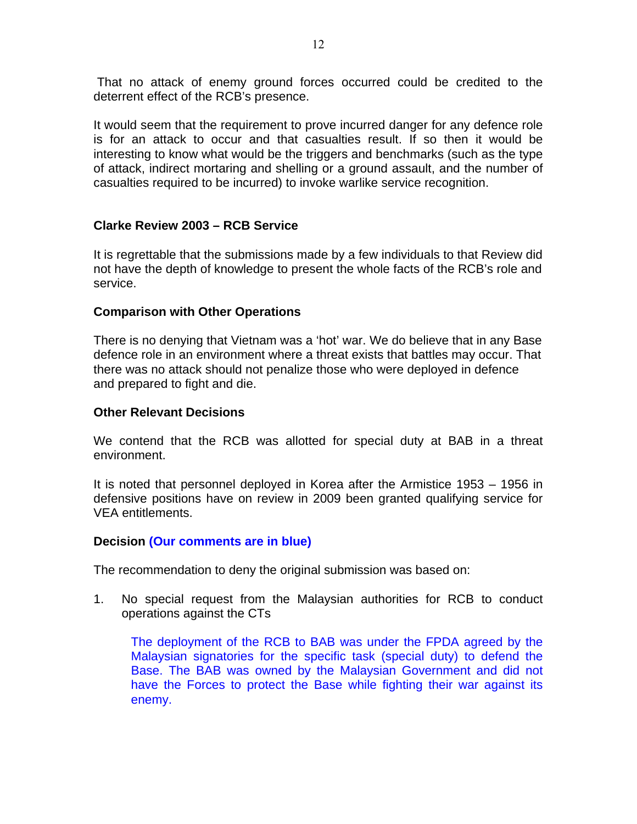That no attack of enemy ground forces occurred could be credited to the deterrent effect of the RCB's presence.

It would seem that the requirement to prove incurred danger for any defence role is for an attack to occur and that casualties result. If so then it would be interesting to know what would be the triggers and benchmarks (such as the type of attack, indirect mortaring and shelling or a ground assault, and the number of casualties required to be incurred) to invoke warlike service recognition.

#### **Clarke Review 2003 – RCB Service**

It is regrettable that the submissions made by a few individuals to that Review did not have the depth of knowledge to present the whole facts of the RCB's role and service.

#### **Comparison with Other Operations**

There is no denying that Vietnam was a 'hot' war. We do believe that in any Base defence role in an environment where a threat exists that battles may occur. That there was no attack should not penalize those who were deployed in defence and prepared to fight and die.

#### **Other Relevant Decisions**

We contend that the RCB was allotted for special duty at BAB in a threat environment.

It is noted that personnel deployed in Korea after the Armistice 1953 – 1956 in defensive positions have on review in 2009 been granted qualifying service for VEA entitlements.

#### **Decision (Our comments are in blue)**

The recommendation to deny the original submission was based on:

1. No special request from the Malaysian authorities for RCB to conduct operations against the CTs

The deployment of the RCB to BAB was under the FPDA agreed by the Malaysian signatories for the specific task (special duty) to defend the Base. The BAB was owned by the Malaysian Government and did not have the Forces to protect the Base while fighting their war against its enemy.